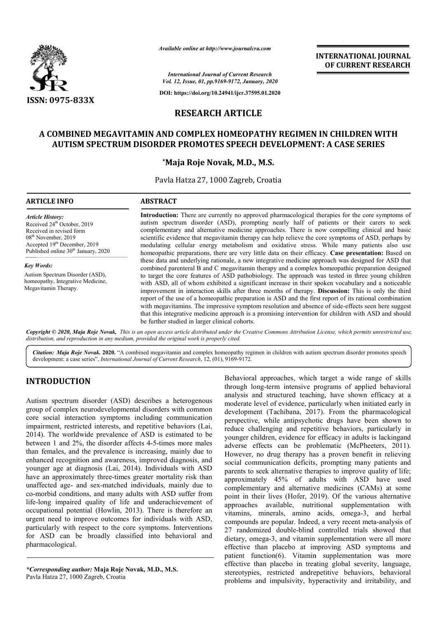

*Available online at http://www.journalcra.com*

**INTERNATIONAL JOURNAL OF CURRENT RESEARCH**

*International Journal of Current Research Vol. 12, Issue, 01, pp.9169-9172, January, 2020*

**DOI: https://doi.org/10.24941/ijcr.37595.01.2020**

## **RESEARCH ARTICLE**

## **A COMBINED MEGAVITAMIN AND COMPLEX HOMEOPATHY REGIMEN COMBINED MEGAVITAMIN AND IN CHILDREN WITH AUTISM SPECTRUM DISORDER PROMOTES SPEECH DEVELOPMENT: A CASE A CASE SERIES**

#### **\*Maja Roje Novak, M.D., M.S.**

Pavla Hatza 27, 1000 Zagreb, Croatia

| <b>ARTICLE INFO</b>                                                                                                                                                                                                              | <b>ABSTRACT</b>                                                                                                                                                                                                                                                                                                                                                                                                                                                                                                                                                                                                                                                                                                                                                                                                                                                                                                                                                                                                                                                                                                                                                                                                                                                                                                                                                                                                                                                                                                   |
|----------------------------------------------------------------------------------------------------------------------------------------------------------------------------------------------------------------------------------|-------------------------------------------------------------------------------------------------------------------------------------------------------------------------------------------------------------------------------------------------------------------------------------------------------------------------------------------------------------------------------------------------------------------------------------------------------------------------------------------------------------------------------------------------------------------------------------------------------------------------------------------------------------------------------------------------------------------------------------------------------------------------------------------------------------------------------------------------------------------------------------------------------------------------------------------------------------------------------------------------------------------------------------------------------------------------------------------------------------------------------------------------------------------------------------------------------------------------------------------------------------------------------------------------------------------------------------------------------------------------------------------------------------------------------------------------------------------------------------------------------------------|
| <b>Article History:</b><br>Received 24 <sup>th</sup> October, 2019<br>Received in revised form<br>08 <sup>th</sup> November, 2019<br>Accepted 19 <sup>th</sup> December, 2019<br>Published online 30 <sup>th</sup> January, 2020 | <b>Introduction:</b> There are currently no approved pharmacological therapies for the core symptoms of<br>autism spectrum disorder (ASD), prompting nearly half of patients or their carers to seek<br>complementary and alternative medicine approaches. There is now compelling clinical and basic<br>scientific evidence that megavitamin therapy can help relieve the core symptoms of ASD, perhaps by<br>modulating cellular energy metabolism and oxidative stress. While many patients also use<br>homeopathic preparations, there are very little data on their efficacy. Case presentation: Based on<br>these data and underlying rationale, a new integrative medicine approach was designed for ASD that<br>combined parenteral B and C megavitamin therapy and a complex homeopathic preparation designed<br>to target the core features of ASD pathobiology. The approach was tested in three young children<br>with ASD, all of whom exhibited a significant increase in their spoken vocabulary and a noticeable<br>improvement in interaction skills after three months of therapy. Discussion: This is only the third<br>report of the use of a homeopathic preparation is ASD and the first report of its rational combination<br>with megavitamins. The impressive symptom resolution and absence of side-effects seen here suggest<br>that this integrative medicine approach is a promising intervention for children with ASD and should<br>be further studied in larger clinical cohorts. |
| <b>Key Words:</b><br>Autism Spectrum Disorder (ASD),<br>homeopathy, Integrative Medicine,<br>Megavitamin Therapy.                                                                                                                |                                                                                                                                                                                                                                                                                                                                                                                                                                                                                                                                                                                                                                                                                                                                                                                                                                                                                                                                                                                                                                                                                                                                                                                                                                                                                                                                                                                                                                                                                                                   |

Copyright © 2020, Maja Roje Novak, This is an open access article distributed under the Creative Commons Attribution License, which permits unrestricted use, *distribution, and reproduction in any medium, provided the original work is properly cited.*

Citation: Maja Roje Novak. 2020. "A combined megavitamin and complex homeopathy regimen in children with autism spectrum disorder promotes speech development: a case series", *International Journal of Current Research*, 12, (01), 9169-9172.

### **INTRODUCTION**

Autism spectrum disorder (ASD) describes a heterogenous group of complex neurodevelopmental disorders with common core social interaction symptoms including communication impairment, restricted interests, and repetitive behaviors (Lai, 2014). The worldwide prevalence of ASD is estimated to be between 1 and 2%, the disorder affects 4-5-times more males than females, and the prevalence is increasing, mainly due to enhanced recognition and awareness, improved diagnosis, and younger age at diagnosis (Lai, 2014). Individuals with ASD have an approximately three-times greater mortality risk than unaffected age- and sex-matched individuals, mainly due to co-morbid conditions, and many adults with ASD suffer from life-long impaired quality of life and underachievement of occupational potential (Howlin, 2013). There is therefore an urgent need to improve outcomes for individuals with ASD, particularly with respect to the core symptoms. Interventions for ASD can be broadly classified into behavioral and pharmacological. Imper age at diagnosis (Lai, 2014). Individuals with Alve an approximately three-times greater mortality risk therefected age- and sex-matched individuals, mainly due morbid conditions, and many adults with ASD suffer freBehavioral approaches, which target a wide range of skills through long-term intensive programs of applied behavioral analysis and structured teaching, have shown efficacy at a moderate level of evidence, particularly when initiated early in development (Tachibana, 2017). From the pharmacological perspective, while antipsychotic drugs have been shown to perspective, while antipsychotic drugs have been shown to reduce challenging and repetitive behaviors, particularly in younger children, evidence for efficacy in adults is lackingand adverse effects can be problematic (McPheeters, 2011). However, no drug therapy has a proven benefit in relieving social communication deficits, prompting many patients and parents to seek alternative therapies to improve quality of life; approximately 45% of adults with ASD have used complementary and alternative medicines (CAMs) at some point in their lives (Hofer, 2019). Of the various alternative approaches available, nutritional supplementation with vitamins, minerals, amino acids, omega-3, and herbal compounds are popular. Indeed, a very recent meta-analysis of 27 randomized double-blind controlled trials showed that 27 randomized double-blind controlled trials showed that dietary, omega-3, and vitamin supplementation were all more effective than placebo at improving ASD symptoms and patient function(6). Vitamin supplementation was more effective than placebo in treating global severity, language, stereotypies, restricted andrepetitive behaviors, behavioral problems and impulsivity, hyperactivity and irritability, and term intensive programs of applied behavioral<br>structured teaching, have shown efficacy at a<br>1 of evidence, particularly when initiated early in<br>(Tachibana, 2017). From the pharmacological cial communication deficits, prompting many patients and<br>rents to seek alternative therapies to improve quality of life;<br>proximately 45% of adults with ASD have used<br>mplementary and alternative medicines (CAMs) at some<br>int **INTERNATIONAL JOURNAL EXECTIVE CONTRIGRATION CONTROL CONTROL (CONTROL CONTROL CONTROL CONTROL CONTROL CONTROL CONTROL CONTROL CONTROL CONTROL CONTROL CONTROL CONTROL CONTROL CONTROL CONTROL CONTROL CONTROL CONTROL CONTRO** 

*<sup>\*</sup>Corresponding author:* **Maja Roje Novak, M.D., M.S.** Pavla Hatza 27, 1000 Zagreb, Croatia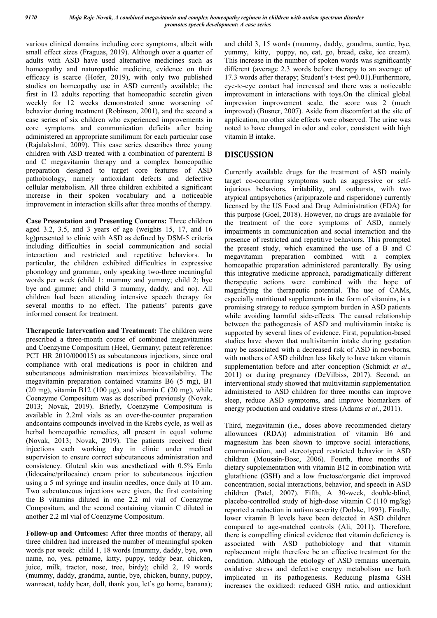various clinical domains including core symptoms, albeit with small effect sizes (Fraguas, 2019). Although over a quarter of adults with ASD have used alternative medicines such as homeopathy and naturopathic medicine, evidence on their efficacy is scarce (Hofer, 2019), with only two published studies on homeopathy use in ASD currently available; the first in 12 adults reporting that homeopathic secretin given weekly for 12 weeks demonstrated some worsening of behavior during treatment (Robinson, 2001), and the second a case series of six children who experienced improvements in core symptoms and communication deficits after being administered an appropriate similimum for each particular case (Rajalakshmi, 2009). This case series describes three young children with ASD treated with a combination of parenteral B and C megavitamin therapy and a complex homeopathic preparation designed to target core features of ASD pathobiology, namely antioxidant defects and defective cellular metabolism. All three children exhibited a significant increase in their spoken vocabulary and a noticeable improvement in interaction skills after three months of therapy.

**Case Presentation and Presenting Concerns:** Three children aged 3.2, 3.5, and 3 years of age (weights 15, 17, and 16 kg)presented to clinic with ASD as defined by DSM-5 criteria including difficulties in social communication and social interaction and restricted and repetitive behaviors. In particular, the children exhibited difficulties in expressive phonology and grammar, only speaking two-three meaningful words per week (child 1: mummy and yummy; child 2; bye bye and gimme; and child 3 mummy, daddy, and no). All children had been attending intensive speech therapy for several months to no effect. The patients' parents gave informed consent for treatment.

**Therapeutic Intervention and Treatment:** The children were prescribed a three-month course of combined megavitamins and Coenzyme Compositum (Heel, Germany; patent reference: PCT HR 2010/000015) as subcutaneous injections, since oral compliance with oral medications is poor in children and subcutaneous administration maximizes bioavailability. The megavitamin preparation contained vitamins B6 (5 mg), B1 (20 mg), vitamin B12 (100  $\mu$ g), and vitamin C (20 mg), while Coenzyme Compositum was as described previously (Novak, 2013; Novak, 2019). Briefly, Coenzyme Compositum is available in 2.2ml vials as an over-the-counter preparation andcontains compounds involved in the Krebs cycle, as well as herbal homeopathic remedies, all present in equal volume (Novak, 2013; Novak, 2019). The patients received their injections each working day in clinic under medical supervision to ensure correct subcutaneous administration and consistency. Gluteal skin was anesthetized with 0.5% Emla (lidocaine/prilocaine) cream prior to subcutaneous injection using a 5 ml syringe and insulin needles, once daily at 10 am. Two subcutaneous injections were given, the first containing the B vitamins diluted in one 2.2 ml vial of Coenzyme Compositum, and the second containing vitamin C diluted in another 2.2 ml vial of Coenzyme Compositum.

**Follow-up and Outcomes:** After three months of therapy, all three children had increased the number of meaningful spoken words per week: child 1, 18 words (mummy, daddy, bye, own name, no, yes, petname, kitty, puppy, teddy bear, chicken, juice, milk, tractor, nose, tree, birdy); child 2, 19 words (mummy, daddy, grandma, auntie, bye, chicken, bunny, puppy, wannaeat, teddy bear, doll, thank you, let's go home, banana); and child 3, 15 words (mummy, daddy, grandma, auntie, bye, yummy, kitty, puppy, no, eat, go, bread, cake, ice cream). This increase in the number of spoken words was significantly different (average 2.3 words before therapy to an average of 17.3 words after therapy; Student's t-test p=0.01).Furthermore, eye-to-eye contact had increased and there was a noticeable improvement in interactions with toys.On the clinical global impression improvement scale, the score was 2 (much improved) (Busner, 2007). Aside from discomfort at the site of application, no other side effects were observed. The urine was noted to have changed in odor and color, consistent with high vitamin B intake.

# **DISCUSSION**

Currently available drugs for the treatment of ASD mainly target co-occurring symptoms such as aggressive or selfinjurious behaviors, irritability, and outbursts, with two atypical antipsychotics (aripiprazole and risperidone) currently licensed by the US Food and Drug Administration (FDA) for this purpose (Goel, 2018). However, no drugs are available for the treatment of the core symptoms of ASD, namely impairments in communication and social interaction and the presence of restricted and repetitive behaviors. This prompted the present study, which examined the use of a B and C megavitamin preparation combined with a complex homeopathic preparation administered parenterally. By using this integrative medicine approach, paradigmatically different therapeutic actions were combined with the hope of magnifying the therapeutic potential. The use of CAMs, especially nutritional supplements in the form of vitamins, is a promising strategy to reduce symptom burden in ASD patients while avoiding harmful side-effects. The causal relationship between the pathogenesis of ASD and multivitamin intake is supported by several lines of evidence. First, population-based studies have shown that multivitamin intake during gestation may be associated with a decreased risk of ASD in newborns, with mothers of ASD children less likely to have taken vitamin supplementation before and after conception (Schmidt *et al*., 2011) or during pregnancy (DeVilbiss, 2017). Second, an interventional study showed that multivitamin supplementation administered to ASD children for three months can improve sleep, reduce ASD symptoms, and improve biomarkers of energy production and oxidative stress (Adams *et al*., 2011).

Third, megavitamin (i.e., doses above recommended dietary allowances (RDA)) administration of vitamin B6 and magnesium has been shown to improve social interactions, communication, and stereotyped restricted behavior in ASD children (Mousain-Bosc, 2006). Fourth, three months of dietary supplementation with vitamin B12 in combination with glutathione (GSH) and a low fructose/organic diet improved concentration, social interactions, behavior, and speech in ASD children (Patel, 2007). Fifth, A 30-week, double-blind, placebo-controlled study of high-dose vitamin C (110 mg/kg) reported a reduction in autism severity (Dolske, 1993). Finally, lower vitamin B levels have been detected in ASD children compared to age-matched controls (Ali, 2011). Therefore, there is compelling clinical evidence that vitamin deficiency is associated with ASD pathobiology and that vitamin replacement might therefore be an effective treatment for the condition. Although the etiology of ASD remains uncertain, oxidative stress and defective energy metabolism are both implicated in its pathogenesis. Reducing plasma GSH increases the oxidized: reduced GSH ratio, and antioxidant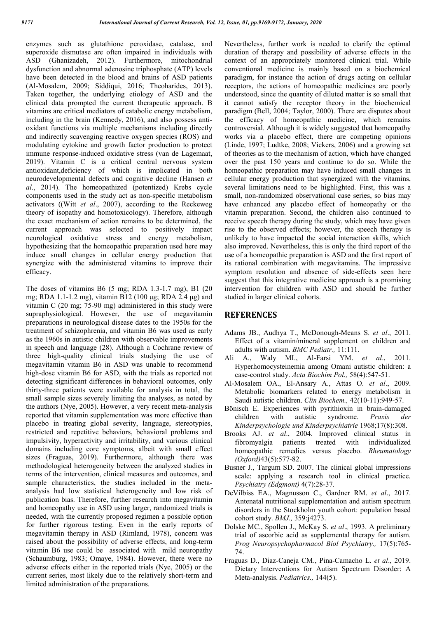enzymes such as glutathione peroxidase, catalase, and superoxide dismutase are often impaired in individuals with ASD (Ghanizadeh, 2012). Furthermore, mitochondrial dysfunction and abnormal adenosine triphosphate (ATP) levels have been detected in the blood and brains of ASD patients (Al-Mosalem, 2009; Siddiqui, 2016; Theoharides, 2013). Taken together, the underlying etiology of ASD and the clinical data prompted the current therapeutic approach. B vitamins are critical mediators of catabolic energy metabolism, including in the brain (Kennedy, 2016), and also possess antioxidant functions via multiple mechanisms including directly and indirectly scavenging reactive oxygen species (ROS) and modulating cytokine and growth factor production to protect immune response-induced oxidative stress (van de Lagemaat, 2019). Vitamin C is a critical central nervous system antioxidant,deficiency of which is implicated in both neurodevelopmental defects and cognitive decline (Hansen *et al*., 2014). The homeopathized (potentized) Krebs cycle components used in the study act as non-specific metabolism activators ((Witt *et al*., 2007), according to the Reckeweg theory of isopathy and homotoxicology). Therefore, although the exact mechanism of action remains to be determined, the current approach was selected to positively impact neurological oxidative stress and energy metabolism, hypothesizing that the homeopathic preparation used here may induce small changes in cellular energy production that synergize with the administered vitamins to improve their efficacy.

The doses of vitamins B6 (5 mg; RDA 1.3-1.7 mg), B1 (20 mg; RDA 1.1-1.2 mg), vitamin B12 (100 μg; RDA 2.4 μg) and vitamin C (20 mg; 75-90 mg) administered in this study were supraphysiological. However, the use of megavitamin preparations in neurological disease dates to the 1950s for the treatment of schizophrenia, and vitamin B6 was used as early as the 1960s in autistic children with observable improvements in speech and language (28). Although a Cochrane review of three high-quality clinical trials studying the use of megavitamin vitamin B6 in ASD was unable to recommend high-dose vitamin B6 for ASD, with the trials as reported not detecting significant differences in behavioral outcomes, only thirty-three patients were available for analysis in total, the small sample sizes severely limiting the analyses, as noted by the authors (Nye, 2005). However, a very recent meta-analysis reported that vitamin supplementation was more effective than placebo in treating global severity, language, stereotypies, restricted and repetitive behaviors, behavioral problems and impulsivity, hyperactivity and irritability, and various clinical domains including core symptoms, albeit with small effect sizes (Fraguas, 2019). Furthermore, although there was methodological heterogeneity between the analyzed studies in terms of the intervention, clinical measures and outcomes, and sample characteristics, the studies included in the metaanalysis had low statistical heterogeneity and low risk of publication bias. Therefore, further research into megavitamin and homeopathy use in ASD using larger, randomized trials is needed, with the currently proposed regimen a possible option for further rigorous testing. Even in the early reports of megavitamin therapy in ASD (Rimland, 1978), concern was raised about the possibility of adverse effects, and long-term vitamin B6 use could be associated with mild neuropathy (Schaumburg, 1983; Omaye, 1984). However, there were no adverse effects either in the reported trials (Nye, 2005) or the current series, most likely due to the relatively short-term and limited administration of the preparations.

Nevertheless, further work is needed to clarify the optimal duration of therapy and possibility of adverse effects in the context of an appropriately monitored clinical trial. While conventional medicine is mainly based on a biochemical paradigm, for instance the action of drugs acting on cellular receptors, the actions of homeopathic medicines are poorly understood, since the quantity of diluted matter is so small that it cannot satisfy the receptor theory in the biochemical paradigm (Bell, 2004; Taylor, 2000). There are disputes about the efficacy of homeopathic medicine, which remains controversial. Although it is widely suggested that homeopathy works via a placebo effect, there are competing opinions (Linde, 1997; Ludtke, 2008; Vickers, 2006) and a growing set of theories as to the mechanism of action, which have changed over the past 150 years and continue to do so. While the homeopathic preparation may have induced small changes in cellular energy production that synergized with the vitamins, several limitations need to be highlighted. First, this was a small, non-randomized observational case series, so bias may have enhanced any placebo effect of homeopathy or the vitamin preparation. Second, the children also continued to receive speech therapy during the study, which may have given rise to the observed effects; however, the speech therapy is unlikely to have impacted the social interaction skills, which also improved. Nevertheless, this is only the third report of the use of a homeopathic preparation is ASD and the first report of its rational combination with megavitamins. The impressive symptom resolution and absence of side-effects seen here suggest that this integrative medicine approach is a promising intervention for children with ASD and should be further studied in larger clinical cohorts.

#### **REFERENCES**

- Adams JB., Audhya T., McDonough-Means S. *et al*., 2011. Effect of a vitamin/mineral supplement on children and adults with autism. *BMC Pediatr.,* 11:111.
- Ali A., Waly MI., Al-Farsi YM. *et al*., 2011. Hyperhomocysteinemia among Omani autistic children: a case-control study. *Acta Biochim Pol.,* 58(4):547-51.
- Al-Mosalem OA., El-Ansary A., Attas O. *et al*., 2009. Metabolic biomarkers related to energy metabolism in Saudi autistic children. *Clin Biochem.,* 42(10-11):949-57.
- Bönisch E. Experiences with pyrithioxin in brain-damaged children with autistic syndrome. *Praxis der Kinderpsychologie und Kinderpsychiatrie* 1968;17(8):308.
- Brooks AJ. *et al*., 2004. Improved clinical status in fibromyalgia patients treated with individualized homeopathic remedies versus placebo. *Rheumatology (Oxford)*43(5):577-82.
- Busner J., Targum SD. 2007. The clinical global impressions scale: applying a research tool in clinical practice. *Psychiatry (Edgmont)* 4(7):28-37.
- DeVilbiss EA., Magnusson C., Gardner RM. *et al*., 2017. Antenatal nutritional supplementation and autism spectrum disorders in the Stockholm youth cohort: population based cohort study. *BMJ.,* 359:j4273.
- Dolske MC., Spollen J., McKay S. *et al*., 1993. A preliminary trial of ascorbic acid as supplemental therapy for autism. *Prog Neuropsychopharmacol Biol Psychiatry.,* 17(5):765- 74.
- Fraguas D., Diaz-Caneja CM., Pina-Camacho L. *et al*., 2019. Dietary Interventions for Autism Spectrum Disorder: A Meta-analysis. *Pediatrics.,* 144(5).